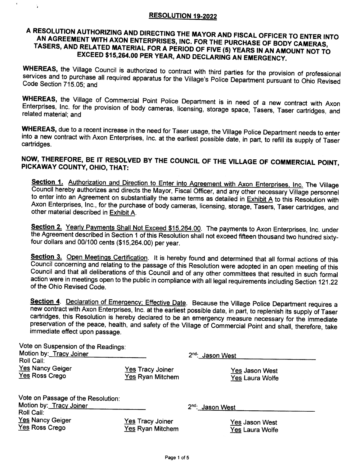#### **RESOLUTION 19-2022**

Ý.

### A RESOLUTION AUTHORIZING AND DIRECTING THE MAYOR AND FISCAL OFFICER TO ENTER INTO AN AGREEMENT WITH AXON ENTERPRISES, INC. FOR THE PURCHASE OF BODY CAMERAS, TASERS, AND RELATED MATERIAL FOR A PERIOD OF FIVE (5) YEARS IN AN AMOUNT NOT TO EXCEED \$15,264.00 PER YEAR, AND DECLARING AN EMERGENCY.

WHEREAS, the Village Council is authorized to contract with third parties for the provision of professional services and to purchase all required apparatus for the Village's Police Department pursuant to Ohio Revised Code Section 715.05; and

WHEREAS, the Village of Commercial Point Police Department is in need of a new contract with Axon Enterprises, Inc. for the provision of body cameras, licensing, storage space, Tasers, Taser cartridges, and related material; and

WHEREAS, due to a recent increase in the need for Taser usage, the Village Police Department needs to enter into a new contract with Axon Enterprises, Inc. at the earliest possible date, in part, to refill its supply of Taser cartridges.

### NOW, THEREFORE, BE IT RESOLVED BY THE COUNCIL OF THE VILLAGE OF COMMERCIAL POINT, PICKAWAY COUNTY, OHIO, THAT:

Section 1. Authorization and Direction to Enter into Agreement with Axon Enterprises, Inc. The Village Council hereby authorizes and directs the Mayor, Fiscal Officer, and any other necessary Village personnel to enter into an Agreement on substantially the same terms as detailed in Exhibit A to this Resolution with Axon Enterprises, Inc., for the purchase of body cameras, licensing, storage, Tasers, Taser cartridges, and other material described in Exhibit A.

Section 2. Yearly Payments Shall Not Exceed \$15,264.00. The payments to Axon Enterprises, Inc. under the Agreement described in Section 1 of this Resolution shall not exceed fifteen thousand two hundred sixtyfour dollars and 00/100 cents (\$15,264.00) per year.

Section 3. Open Meetings Certification. It is hereby found and determined that all formal actions of this Council concerning and relating to the passage of this Resolution were adopted in an open meeting of this Council and that all deliberations of this Council and of any other committees that resulted in such formal action were in meetings open to the public in compliance with all legal requirements including Section 121.22 of the Ohio Revised Code.

Section 4. Declaration of Emergency; Effective Date. Because the Village Police Department requires a new contract with Axon Enterprises, Inc. at the earliest possible date, in part, to replenish its supply of Taser cartridges, this Resolution is hereby declared to be an emergency measure necessary for the immediate preservation of the peace, health, and safety of the Village of Commercial Point and shall, therefore, take immediate effect upon passage.

| Vote on Suspension of the Readings:<br>Motion by: Tracy Joiner<br>Roll Call: |                         | 2 <sup>nd</sup> : Jason West |
|------------------------------------------------------------------------------|-------------------------|------------------------------|
| <b>Yes Nancy Geiger</b>                                                      | <u>Yes</u> Tracy Joiner | <u>Yes</u> Jason West        |
| Yes Ross Crego                                                               | <u>Yes</u> Ryan Mitchem | <b>Yes Laura Wolfe</b>       |
| Vote on Passage of the Resolution:<br>Motion by: Tracy Joiner<br>Roll Call:  |                         | 2 <sup>nd</sup> : Jason West |
| <b>Yes Nancy Geiger</b>                                                      | Yes Tracy Joiner        | <u>Yes</u> Jason West        |
| Yes Ross Crego                                                               | Yes Ryan Mitchem        | <b>Yes Laura Wolfe</b>       |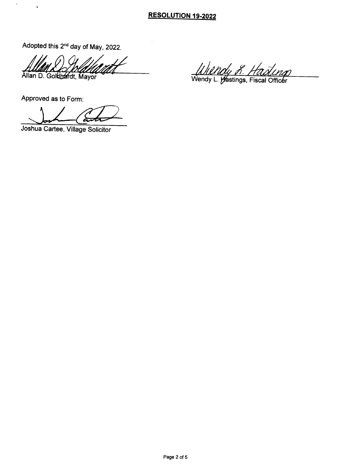### RESOLUTION 19-2022

Adopted this 2<sup>nd</sup> day of May, 2022.

 $\prime$  /  $\phantom{0}$ Allan D. Goldbardt, Mayor

Approved as to Form:

 $\bar{r}$ 

 $\mathbf{r}$ 

Joshua Cartee, Village Solicitor

Ullndy R. Hasling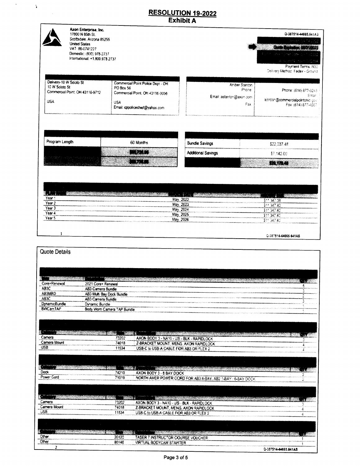## RESOLUTION 19-2022<br>Exhibit A

 $\Delta_{\rm{eff}}$ 

 $\Delta$ 

 $\bar{\gamma}$ 

| Axon Enterprise, Inc.<br>17800 N 85th St.<br>Scottsdale, Arizona 85255<br><b>United States</b><br>VAT: 86-0741227<br>Domestic: (800) 978-2737<br>International: +1,800,978,2737 |                                                                                                                                   |                          | Q-387514-44865.641AS<br>See an ios insignati<br><b>Contract Color</b><br>for the manufacturer of side in<br>A scientific noir Situlisa<br>Payment Terms: N30<br>Delivery Method: Fedex - Ground |
|---------------------------------------------------------------------------------------------------------------------------------------------------------------------------------|-----------------------------------------------------------------------------------------------------------------------------------|--------------------------|-------------------------------------------------------------------------------------------------------------------------------------------------------------------------------------------------|
| Delivery-10 W Scioto St<br>10 W Scioto St<br>Commercial Point, OH 43116-9712<br><b>USA</b>                                                                                      | Commercial Point Police Dept - OH<br>PO Box 56<br>Commercial Point, OH 43116-0056<br><b>USA</b><br>Email: copolicechief@yahoo.com | Email: astanton@axon.com | Amber Stanton<br>Phone:<br>Phone: (614) 877-9245<br>Emar.<br>ajordan@commercialpointchic gov<br>Fax:<br>Fax: (614) 877-4567                                                                     |
| Program Length                                                                                                                                                                  | 60 Months                                                                                                                         | <b>Bundle Savings</b>    |                                                                                                                                                                                                 |
|                                                                                                                                                                                 | <b>AND THE REAL PROPERTY</b>                                                                                                      |                          | \$22,037.48                                                                                                                                                                                     |
|                                                                                                                                                                                 |                                                                                                                                   | Additional Savings       | \$7,142.00                                                                                                                                                                                      |
|                                                                                                                                                                                 | $-88.1$                                                                                                                           |                          | <b>121171.41</b>                                                                                                                                                                                |

| Year '                                                                     | May. 2022<br><b><i><u>ASCOLARA MANUFERENCE</u></i></b>                                                                                 | \$11.347.38                                                                                                                        |
|----------------------------------------------------------------------------|----------------------------------------------------------------------------------------------------------------------------------------|------------------------------------------------------------------------------------------------------------------------------------|
| Year 2<br>____<br>The construction of independent construction of the con- | 2023<br>Mav.                                                                                                                           | \$11,347,40                                                                                                                        |
| Year.<br>control appropriate and account primary and a Constitution        | on an announced a manufacture and contained and contained and company of the property of the property of the following<br>2024<br>May. | a badda di civil a matamatan ing kabupatèn sa matama<br>\$11,347,40                                                                |
| Year 4<br>100 K Symmetric Politics                                         | 2025<br>May                                                                                                                            | <b>CONTRACTOR CONTRACTOR AND ARTICLES</b><br>\$11.347.<br>A.                                                                       |
| Year 5<br>The commission and                                               | والمحافظ فالماما<br>May. 2026<br>A dealer that he don't have been accompanied                                                          | <b>IS ARE CASTING CONTRACT CONTRACTOR CONTRACTOR CONTRACT CONSULTING CONTRACTOR CONTRACTOR CONTRACTOR COMPANY</b><br>書きた<br>347.40 |

#### Q-387514-44665.641AS

| Core+Renewal<br>2021 Core+ Renewal<br>AB3C<br><b>AB3 Carnera Bundle</b><br>â<br>AB3MBD<br>AB3 Mult Bay Dock Bundle<br>2<br>AB3C<br><b>AB3 Carrera Bundle</b><br>DynamicBundle<br><b>Oynamic Bundle</b><br><b>BWCamTAP</b><br>Body Worn Camera TAP Bundle<br>Camera<br>73202<br>AXON BOOY 3 - NA10 - US - BLK - RAPIDLOCK<br>Camera Mount<br>74018<br>Z-BRACKET MOUNT, MENS, AXON RAPIDLOCK<br>USB<br>11534<br>USB-C to USB-A CABLE FOR AB3 OR FLEX 2<br><b>The contract of the contract of the contract of the contract of the contract of the contract of the contract of the contract of the contract of the contract of the contract of the contract of the contract of the contract </b><br>Dock<br>74210<br>AXON BODY 3 - 8 BAY DOCK<br>Power Cord<br>71019<br>NORTH AMER POWER CORD FOR AB3 8-BAY, AB2 1-BAY / 6-BAY DOOK<br>Camera<br>73202<br>AXON BODY 3 - NA10 - US - BLK - RAPIDLOCK<br>Camera Mount<br>74018<br>Z-BRACKET MOUNT, MENS, AXON RAPIDLOCK<br>USB<br>11534<br>USB-C to USB-A CABLE FOR AB3 OR FLEX 2<br>4<br>Other<br>20120<br>TASER 7 INSTRUCTOR COURSE VOUCHER<br>Other | Quote Details |       |                         |
|--------------------------------------------------------------------------------------------------------------------------------------------------------------------------------------------------------------------------------------------------------------------------------------------------------------------------------------------------------------------------------------------------------------------------------------------------------------------------------------------------------------------------------------------------------------------------------------------------------------------------------------------------------------------------------------------------------------------------------------------------------------------------------------------------------------------------------------------------------------------------------------------------------------------------------------------------------------------------------------------------------------------------------------------------------------------------------------------------|---------------|-------|-------------------------|
|                                                                                                                                                                                                                                                                                                                                                                                                                                                                                                                                                                                                                                                                                                                                                                                                                                                                                                                                                                                                                                                                                                  |               |       |                         |
|                                                                                                                                                                                                                                                                                                                                                                                                                                                                                                                                                                                                                                                                                                                                                                                                                                                                                                                                                                                                                                                                                                  |               |       |                         |
|                                                                                                                                                                                                                                                                                                                                                                                                                                                                                                                                                                                                                                                                                                                                                                                                                                                                                                                                                                                                                                                                                                  |               |       |                         |
|                                                                                                                                                                                                                                                                                                                                                                                                                                                                                                                                                                                                                                                                                                                                                                                                                                                                                                                                                                                                                                                                                                  |               |       |                         |
|                                                                                                                                                                                                                                                                                                                                                                                                                                                                                                                                                                                                                                                                                                                                                                                                                                                                                                                                                                                                                                                                                                  |               |       |                         |
|                                                                                                                                                                                                                                                                                                                                                                                                                                                                                                                                                                                                                                                                                                                                                                                                                                                                                                                                                                                                                                                                                                  |               |       |                         |
|                                                                                                                                                                                                                                                                                                                                                                                                                                                                                                                                                                                                                                                                                                                                                                                                                                                                                                                                                                                                                                                                                                  |               |       |                         |
|                                                                                                                                                                                                                                                                                                                                                                                                                                                                                                                                                                                                                                                                                                                                                                                                                                                                                                                                                                                                                                                                                                  |               |       |                         |
|                                                                                                                                                                                                                                                                                                                                                                                                                                                                                                                                                                                                                                                                                                                                                                                                                                                                                                                                                                                                                                                                                                  |               |       |                         |
|                                                                                                                                                                                                                                                                                                                                                                                                                                                                                                                                                                                                                                                                                                                                                                                                                                                                                                                                                                                                                                                                                                  |               |       |                         |
|                                                                                                                                                                                                                                                                                                                                                                                                                                                                                                                                                                                                                                                                                                                                                                                                                                                                                                                                                                                                                                                                                                  |               |       |                         |
|                                                                                                                                                                                                                                                                                                                                                                                                                                                                                                                                                                                                                                                                                                                                                                                                                                                                                                                                                                                                                                                                                                  |               |       |                         |
|                                                                                                                                                                                                                                                                                                                                                                                                                                                                                                                                                                                                                                                                                                                                                                                                                                                                                                                                                                                                                                                                                                  |               |       |                         |
|                                                                                                                                                                                                                                                                                                                                                                                                                                                                                                                                                                                                                                                                                                                                                                                                                                                                                                                                                                                                                                                                                                  |               |       |                         |
|                                                                                                                                                                                                                                                                                                                                                                                                                                                                                                                                                                                                                                                                                                                                                                                                                                                                                                                                                                                                                                                                                                  |               |       |                         |
|                                                                                                                                                                                                                                                                                                                                                                                                                                                                                                                                                                                                                                                                                                                                                                                                                                                                                                                                                                                                                                                                                                  |               |       |                         |
|                                                                                                                                                                                                                                                                                                                                                                                                                                                                                                                                                                                                                                                                                                                                                                                                                                                                                                                                                                                                                                                                                                  |               |       |                         |
|                                                                                                                                                                                                                                                                                                                                                                                                                                                                                                                                                                                                                                                                                                                                                                                                                                                                                                                                                                                                                                                                                                  |               |       |                         |
|                                                                                                                                                                                                                                                                                                                                                                                                                                                                                                                                                                                                                                                                                                                                                                                                                                                                                                                                                                                                                                                                                                  |               |       |                         |
|                                                                                                                                                                                                                                                                                                                                                                                                                                                                                                                                                                                                                                                                                                                                                                                                                                                                                                                                                                                                                                                                                                  |               |       |                         |
|                                                                                                                                                                                                                                                                                                                                                                                                                                                                                                                                                                                                                                                                                                                                                                                                                                                                                                                                                                                                                                                                                                  |               |       |                         |
|                                                                                                                                                                                                                                                                                                                                                                                                                                                                                                                                                                                                                                                                                                                                                                                                                                                                                                                                                                                                                                                                                                  |               |       |                         |
|                                                                                                                                                                                                                                                                                                                                                                                                                                                                                                                                                                                                                                                                                                                                                                                                                                                                                                                                                                                                                                                                                                  |               |       |                         |
|                                                                                                                                                                                                                                                                                                                                                                                                                                                                                                                                                                                                                                                                                                                                                                                                                                                                                                                                                                                                                                                                                                  |               |       |                         |
|                                                                                                                                                                                                                                                                                                                                                                                                                                                                                                                                                                                                                                                                                                                                                                                                                                                                                                                                                                                                                                                                                                  |               |       |                         |
|                                                                                                                                                                                                                                                                                                                                                                                                                                                                                                                                                                                                                                                                                                                                                                                                                                                                                                                                                                                                                                                                                                  |               |       |                         |
|                                                                                                                                                                                                                                                                                                                                                                                                                                                                                                                                                                                                                                                                                                                                                                                                                                                                                                                                                                                                                                                                                                  |               |       |                         |
|                                                                                                                                                                                                                                                                                                                                                                                                                                                                                                                                                                                                                                                                                                                                                                                                                                                                                                                                                                                                                                                                                                  |               |       |                         |
|                                                                                                                                                                                                                                                                                                                                                                                                                                                                                                                                                                                                                                                                                                                                                                                                                                                                                                                                                                                                                                                                                                  |               |       |                         |
|                                                                                                                                                                                                                                                                                                                                                                                                                                                                                                                                                                                                                                                                                                                                                                                                                                                                                                                                                                                                                                                                                                  |               |       |                         |
|                                                                                                                                                                                                                                                                                                                                                                                                                                                                                                                                                                                                                                                                                                                                                                                                                                                                                                                                                                                                                                                                                                  |               |       |                         |
|                                                                                                                                                                                                                                                                                                                                                                                                                                                                                                                                                                                                                                                                                                                                                                                                                                                                                                                                                                                                                                                                                                  |               |       |                         |
|                                                                                                                                                                                                                                                                                                                                                                                                                                                                                                                                                                                                                                                                                                                                                                                                                                                                                                                                                                                                                                                                                                  |               |       |                         |
|                                                                                                                                                                                                                                                                                                                                                                                                                                                                                                                                                                                                                                                                                                                                                                                                                                                                                                                                                                                                                                                                                                  |               |       |                         |
|                                                                                                                                                                                                                                                                                                                                                                                                                                                                                                                                                                                                                                                                                                                                                                                                                                                                                                                                                                                                                                                                                                  |               |       |                         |
|                                                                                                                                                                                                                                                                                                                                                                                                                                                                                                                                                                                                                                                                                                                                                                                                                                                                                                                                                                                                                                                                                                  |               |       |                         |
|                                                                                                                                                                                                                                                                                                                                                                                                                                                                                                                                                                                                                                                                                                                                                                                                                                                                                                                                                                                                                                                                                                  |               |       |                         |
|                                                                                                                                                                                                                                                                                                                                                                                                                                                                                                                                                                                                                                                                                                                                                                                                                                                                                                                                                                                                                                                                                                  |               | 80146 | VIRTUAL BODYCAM STARTER |
| $\mathbf{z}$<br>Q-387514-44665.641AS                                                                                                                                                                                                                                                                                                                                                                                                                                                                                                                                                                                                                                                                                                                                                                                                                                                                                                                                                                                                                                                             |               |       |                         |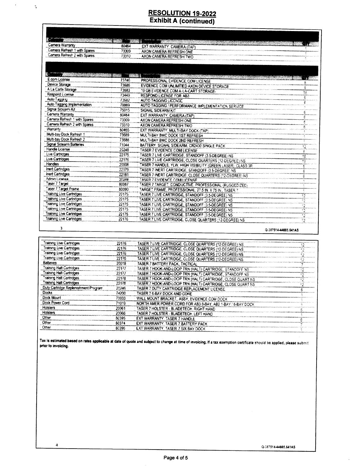# **RESOLUTION 19-2022**<br>Exhibit A (continued)

 $\mathcal{L}_{\mathcal{A}}$ 

 $\tilde{\mathcal{A}}$ 

 $\ddot{\bf{a}}$ 

| Camera Warranty                             | 80464 | EXT WARRANTY, CAMERA (TAP)                                   | 【・:』 感謝 |
|---------------------------------------------|-------|--------------------------------------------------------------|---------|
| Camera Refresh 1 with Spares                | 73309 | AXON CAMERA REFRESH ONE                                      |         |
| Camera Refresh 2 with Spares                | 73310 | AXON CAMERA REFRESH TWO                                      |         |
|                                             |       |                                                              |         |
|                                             |       |                                                              |         |
|                                             |       |                                                              |         |
| <u> Transformation of the second second</u> |       |                                                              |         |
| E.com License                               | 73746 | PROFESSIONAL EVIDENCE COM LICENSE                            |         |
| Device Storage                              | 73686 | EVIDENCE COM UNLIMITED AXON DEVICE STORAGE                   | έ       |
| A La Carte Storage                          | 73683 | 10 GB EVIDENCE COM A-LA-CART STORAGE-                        | 18      |
| Respond License                             | 73449 | <b>RESPOND LICENSE FOR AB3</b>                               | ê,      |
| Aulu Tayging                                | 73082 | AUTO TAGGING LICENSE                                         |         |
| Auto Tagging Implementation                 | 79999 | AUTO TAGGING / PERFORMANCE IMPLEMENTATION SERVICE            |         |
| Signal Sidearm Ke                           | 75015 | SIGNAL SIDEARM KIT                                           |         |
| Camera Warrarzy                             | 80464 | EXT WARRANTY, CAMERA ITAPI                                   |         |
| Camera Refresh 1 with Spares                | 73309 | AXON CAMERA REFRESH ONE                                      | ē       |
| Camera Refresh 2 with Spares                | 73310 | AXON CAMERA REFRESH TWO                                      |         |
| Warranty                                    | 80465 | EXT WARRANTY, MIA TI-BAY DOCK (TAP)                          |         |
| Multi-bay Dock Refresh 1                    | 73689 | MULTI-BAY BWC DOCK IST REFRESH                               |         |
| Multi-bay Dock Refresh 2                    | 73888 | MULTI-BAY BWC DOCK 2ND REFRESH                               |         |
| Signal Sidearm Batteries                    | 71044 | BATTERY, SIGNAL SIDEARM, CR2430 SINGLE PACK                  | 12      |
| Handle License                              | 20248 | <b>TASER 7 EVIDENCE COM LICENSE</b>                          |         |
| Live Cartricges                             | 22175 | TASER 7 LIVE CARTRIDGE, STANDOFF (3.5-DEGREE) NS             | 18      |
| Live Cartridges                             | 22176 | TASER 7 LIVE CARTRIDGE, CLOSE QUARTERS (12-DEGREE) NS        | 18      |
| Handles                                     | 20008 | TASER 7 HANDLE, YLW, HIGH VISIBILITY (GREEN LASER), CLASS 3R |         |
| Inert Cartndges                             | 22179 | TASER 7 INERT CARTRIDGE, STANDOFF (3.5-DEGREE) NS            |         |
| inert Cartndges                             | 22181 | TASER 7 INERT CARTRIDGE, CLOSE QUARTERS (12-DEGREE) NS       | £       |
| Admin License                               | 20248 | TASER 7 EVIDENCE COM LICENSE                                 |         |
| Taser 7 Target                              | 80087 | TASER 7 TARGET, CONDUCTIVE, PROFESSIONAL (RUGGEDIZED)        |         |
| <b>Taser 7 Target Frame</b>                 | 80090 | TARGET FRAME. PROFESSIONAL, 27.5 IN. X 75 IN., TASER 7       |         |
| <b>Training Live Cartridges</b>             | 22175 | TASER 7 LIVE CARTRIDGE, STANDOFF (3.5-DEGREE) NS             | 12      |
| Training Live Cartridges                    | 22175 | TASER 7 LIVE CARTRIDGE, STANDOFF (3.5-DEGREE) NS             |         |
| <b>Training Live Cartridges</b>             | 22175 | TASER 7 LIVE CARTRIDGE, STANDOFF (3.5 DEGREE) NS             | 12      |
| Training Live Cartridges                    | 22175 | TASER 7 LIVE CARTRIDGE, STANDOFF (3.5-DEGREE) NS             | 12      |
| <b>Training Live Cartridges</b>             | 22175 | TASER 7 LIVE CARTRIDGE, STANDOFF (3,5-DEGREE) NS             | 72      |
| Training Live Cartridges                    | 22176 | TASER 7 LIVE CARTRIDGE, CLOSE QUARTERS (12-DEGREE) NS        | 12      |

| 22176 | TASER 7 LIVE CARTRIDGE, CLOSE QUARTERS (12-DEGREE) NS |                                                                                                                                                                                                                                                                                                                                                                                                                                                                                                                                                                                                                                                                                                                                                  |
|-------|-------------------------------------------------------|--------------------------------------------------------------------------------------------------------------------------------------------------------------------------------------------------------------------------------------------------------------------------------------------------------------------------------------------------------------------------------------------------------------------------------------------------------------------------------------------------------------------------------------------------------------------------------------------------------------------------------------------------------------------------------------------------------------------------------------------------|
| 22176 |                                                       |                                                                                                                                                                                                                                                                                                                                                                                                                                                                                                                                                                                                                                                                                                                                                  |
| 22176 |                                                       |                                                                                                                                                                                                                                                                                                                                                                                                                                                                                                                                                                                                                                                                                                                                                  |
| 22176 |                                                       |                                                                                                                                                                                                                                                                                                                                                                                                                                                                                                                                                                                                                                                                                                                                                  |
| 20018 | TASER 7 BATTERY PACK, TACTICAL                        |                                                                                                                                                                                                                                                                                                                                                                                                                                                                                                                                                                                                                                                                                                                                                  |
| 22177 |                                                       |                                                                                                                                                                                                                                                                                                                                                                                                                                                                                                                                                                                                                                                                                                                                                  |
| 22177 |                                                       |                                                                                                                                                                                                                                                                                                                                                                                                                                                                                                                                                                                                                                                                                                                                                  |
| 22178 |                                                       |                                                                                                                                                                                                                                                                                                                                                                                                                                                                                                                                                                                                                                                                                                                                                  |
| 22178 |                                                       |                                                                                                                                                                                                                                                                                                                                                                                                                                                                                                                                                                                                                                                                                                                                                  |
| 20246 |                                                       |                                                                                                                                                                                                                                                                                                                                                                                                                                                                                                                                                                                                                                                                                                                                                  |
| 74200 | TASER 7 6-8AY DOCK AND CORE                           |                                                                                                                                                                                                                                                                                                                                                                                                                                                                                                                                                                                                                                                                                                                                                  |
| 70033 |                                                       |                                                                                                                                                                                                                                                                                                                                                                                                                                                                                                                                                                                                                                                                                                                                                  |
| 71019 |                                                       |                                                                                                                                                                                                                                                                                                                                                                                                                                                                                                                                                                                                                                                                                                                                                  |
| 20061 |                                                       |                                                                                                                                                                                                                                                                                                                                                                                                                                                                                                                                                                                                                                                                                                                                                  |
| 20066 |                                                       |                                                                                                                                                                                                                                                                                                                                                                                                                                                                                                                                                                                                                                                                                                                                                  |
| 80395 |                                                       |                                                                                                                                                                                                                                                                                                                                                                                                                                                                                                                                                                                                                                                                                                                                                  |
| 80374 |                                                       |                                                                                                                                                                                                                                                                                                                                                                                                                                                                                                                                                                                                                                                                                                                                                  |
| 80396 | EXT WARRANTY. TASER 7 SIX BAY DOCK                    |                                                                                                                                                                                                                                                                                                                                                                                                                                                                                                                                                                                                                                                                                                                                                  |
|       |                                                       | TASER 7 LIVE CARTRIDGE, CLOSE QUARTERS (12-DEGREE) NS<br>TASER 7 LIVE CARTRIDGE, CLOSE QUARTERS (12-DEGREE) NS<br>TASER 7 LIVE CARTRIDGE, CLOSE QUARTERS (12-DEGREE) NS<br>TASER 7 HOOK-AND-LOOP TRN (HALT) CARTRIDGE, STANDOFF NS<br>TASER 7 HOOK-AND-LOOP TRN (HALT) CARTRIDGE, STANDOFF NS<br>TASER 7 HOOK-AND-LOOP TRN (HALT) CARTRIDGE, CLOSE QUART NS<br>TASER 7 HOOK-AND-LOOP TRN (HALT) CARTRIDGE, CLOSE QUART NS<br>TASER 7 DUTY CARTRIDGE REPLACEMENT LICENSE<br>WALL MOUNT BRACKET, ASSY, EVIDENCE COM DOCK<br>NORTH AMER POWER CORD FOR AB3 8-BAY, AB2 1-BAY / 6-BAY DOCK<br>TASER 7 HOLSTER - BLADETECH, RIGHT HAND<br>TASER 7 HOLSTER - BLADETECH, LEFT HAND<br>EXT WARRANTY, TASER 7 HANDLE<br>EXT WARRANTY, TASER 7 BATTERY PACK |

Tax is estimated based on rates applicable at date of quote and subject to change at time of invoicing. If a tax exemption certificate should be applied, please submit prior to invoicing.